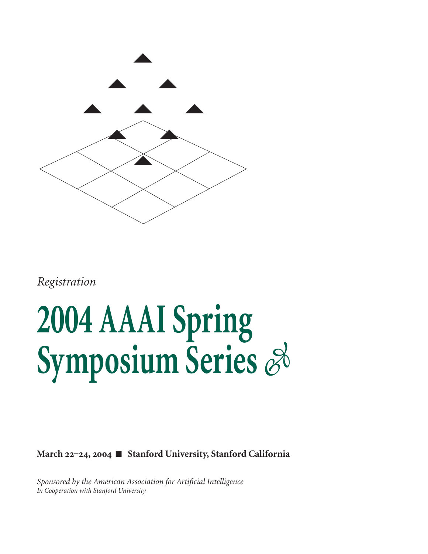

*Registration*

### **2004 AAAI Spring Symposium Series**

March <sup>22-24</sup>, <sup>2004</sup> ■ Stanford University, Stanford California

*Sponsored by the American Association for Artificial Intelligence In Cooperation with Stanford University*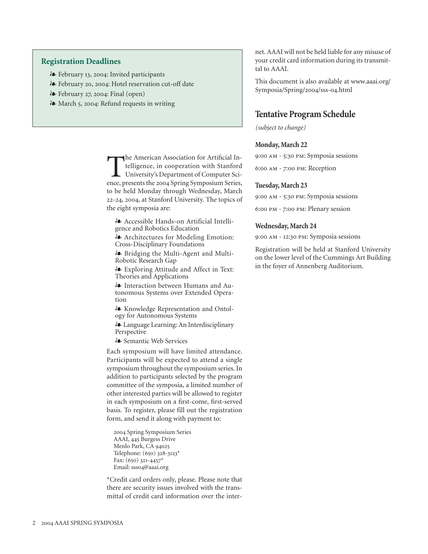### **Registration Deadlines**

- February , : Invited participants
- Lehruary 20, 2004: Hotel reservation cut-off date
- 8 February 27, 2004: Final (open)
- $\clubsuit$  March 5, 2004: Refund requests in writing

The American Association for Artificial Intelligence, in cooperation with Stanford<br>University's Department of Computer Science, presents the 2004 Spring Symposium Series. telligence, in cooperation with Stanford University's Department of Computer Science, presents the 2004 Spring Symposium Series, to be held Monday through Wednesday, March 22-24, 2004, at Stanford University. The topics of the eight symposia are:

- Accessible Hands-on Artificial Intelligence and Robotics Education

- Architectures for Modeling Emotion: Cross-Disciplinary Foundations

- Bridging the Multi-Agent and Multi-Robotic Research Gap

- Exploring Attitude and Affect in Text: Theories and Applications

- Interaction between Humans and Autonomous Systems over Extended Operation

- Knowledge Representation and Ontology for Autonomous Systems

- Language Learning: An Interdisciplinary Perspective

- Semantic Web Services

Each symposium will have limited attendance. Participants will be expected to attend a single symposium throughout the symposium series. In addition to participants selected by the program committee of the symposia, a limited number of other interested parties will be allowed to register in each symposium on a first-come, first-served basis. To register, please fill out the registration form, and send it along with payment to:

2004 Spring Symposium Series AAAI, 445 Burgess Drive Menlo Park, CA Telephone:  $(650)$  328-3123<sup>\*</sup> Fax:  $(650)$  321-4457<sup>\*</sup> Email: ssso4@aaai.org

\*Credit card orders only, please. Please note that there are security issues involved with the transmittal of credit card information over the internet. AAAI will not be held liable for any misuse of your credit card information during its transmittal to AAAI.

This document is also available at www.aaai.org/ Symposia/Spring/2004/sss-04.html

### **Tentative Program Schedule**

*(subject to change)*

### **Monday, March 22**

9:00 AM - 5:30 PM: Symposia sessions

6:00 AM - 7:00 PM: Reception

### **Tuesday, March 23**

9:00 AM - 5:30 PM: Symposia sessions

 $6:00 \text{ PM}$  - 7:00 PM: Plenary session

### **Wednesday, March 24**

9:00 AM - 12:30 PM: Symposia sessions

Registration will be held at Stanford University on the lower level of the Cummings Art Building in the foyer of Annenberg Auditorium.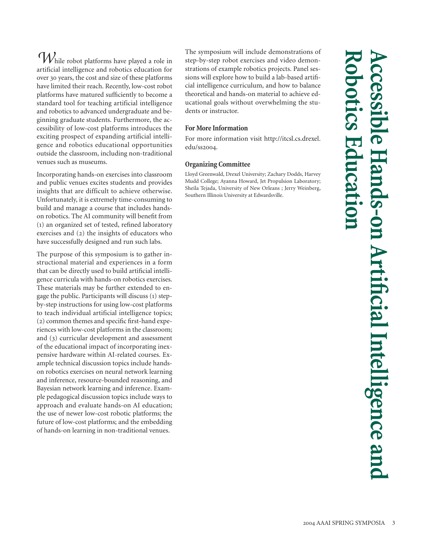*W*hile robot platforms have played a role in artificial intelligence and robotics education for over 30 years, the cost and size of these platforms have limited their reach. Recently, low-cost robot platforms have matured sufficiently to become a standard tool for teaching artificial intelligence and robotics to advanced undergraduate and beginning graduate students. Furthermore, the accessibility of low-cost platforms introduces the exciting prospect of expanding artificial intelligence and robotics educational opportunities outside the classroom, including non-traditional venues such as museums.

Incorporating hands-on exercises into classroom and public venues excites students and provides insights that are difficult to achieve otherwise. Unfortunately, it is extremely time-consuming to build and manage a course that includes handson robotics. The AI community will benefit from () an organized set of tested, refined laboratory exercises and  $(2)$  the insights of educators who have successfully designed and run such labs.

The purpose of this symposium is to gather instructional material and experiences in a form that can be directly used to build artificial intelligence curricula with hands-on robotics exercises. These materials may be further extended to engage the public. Participants will discuss (1) stepby-step instructions for using low-cost platforms to teach individual artificial intelligence topics;  $(2)$  common themes and specific first-hand experiences with low-cost platforms in the classroom; and  $(3)$  curricular development and assessment of the educational impact of incorporating inexpensive hardware within AI-related courses. Example technical discussion topics include handson robotics exercises on neural network learning and inference, resource-bounded reasoning, and Bayesian network learning and inference. Example pedagogical discussion topics include ways to approach and evaluate hands-on AI education; the use of newer low-cost robotic platforms; the future of low-cost platforms; and the embedding of hands-on learning in non-traditional venues.

The symposium will include demonstrations of step-by-step robot exercises and video demonstrations of example robotics projects. Panel sessions will explore how to build a lab-based artificial intelligence curriculum, and how to balance theoretical and hands-on material to achieve educational goals without overwhelming the students or instructor.

### **For More Information**

For more information visit http://itcsl.cs.drexel. edu/ss2004.

### **Organizing Committee**

Lloyd Greenwald, Drexel University; Zachary Dodds, Harvey Mudd College; Ayanna Howard, Jet Propulsion Laboratory; Sheila Tejada, University of New Orleans ; Jerry Weinberg, Southern Illinois University at Edwardsville.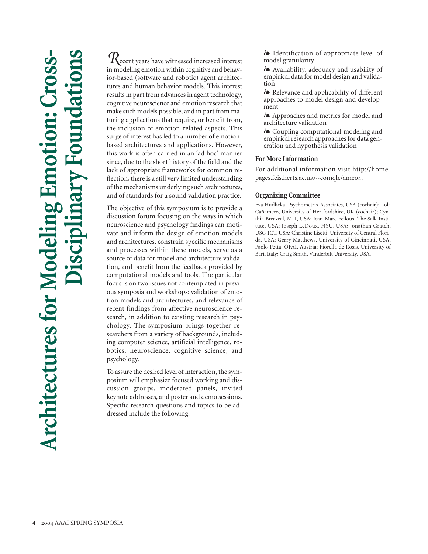# **Architectures for Modeling Emotion: Cross-Disciplinary Foundations Architectures for Modeling** I

*R*ecent years have witnessed increased interest in modeling emotion within cognitive and behavior-based (software and robotic) agent architectures and human behavior models. This interest results in part from advances in agent technology, cognitive neuroscience and emotion research that make such models possible, and in part from maturing applications that require, or benefit from, the inclusion of emotion-related aspects. This surge of interest has led to a number of emotionbased architectures and applications. However, this work is often carried in an 'ad hoc' manner since, due to the short history of the field and the lack of appropriate frameworks for common reflection, there is a still very limited understanding of the mechanisms underlying such architectures, and of standards for a sound validation practice.

The objective of this symposium is to provide a discussion forum focusing on the ways in which neuroscience and psychology findings can motivate and inform the design of emotion models and architectures, constrain specific mechanisms and processes within these models, serve as a source of data for model and architecture validation, and benefit from the feedback provided by computational models and tools. The particular focus is on two issues not contemplated in previous symposia and workshops: validation of emotion models and architectures, and relevance of recent findings from affective neuroscience research, in addition to existing research in psychology. The symposium brings together researchers from a variety of backgrounds, including computer science, artificial intelligence, robotics, neuroscience, cognitive science, and psychology.

To assure the desired level of interaction, the symposium will emphasize focused working and discussion groups, moderated panels, invited keynote addresses, and poster and demo sessions. Specific research questions and topics to be addressed include the following:

- Identification of appropriate level of model granularity

- Availability, adequacy and usability of empirical data for model design and validation

- Relevance and applicability of different approaches to model design and development

- Approaches and metrics for model and architecture validation

- Coupling computational modeling and empirical research approaches for data generation and hypothesis validation

### **For More Information**

For additional information visit http://homepages.feis.herts.ac.uk/~comqlc/ameo4.

### **Organizing Committee**

Eva Hudlicka, Psychometrix Associates, USA (cochair); Lola Cañamero, University of Hertfordshire, UK (cochair); Cynthia Breazeal, MIT, USA; Jean-Marc Fellous, The Salk Institute, USA; Joseph LeDoux, NYU, USA; Jonathan Gratch, USC-ICT, USA; Christine Lisetti, University of Central Florida, USA; Gerry Matthews, University of Cincinnati, USA; Paolo Petta, ÖFAI, Austria; Fiorella de Rosis, University of Bari, Italy; Craig Smith, Vanderbilt University, USA.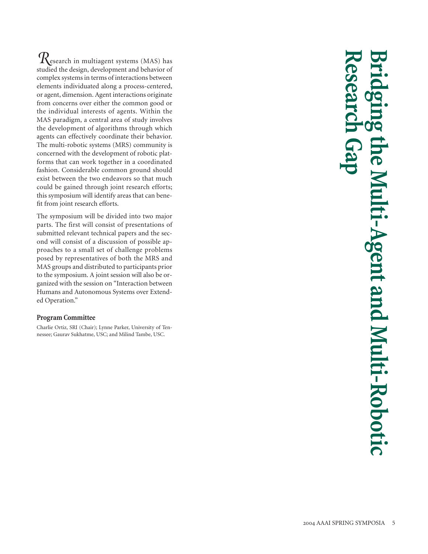*R*esearch in multiagent systems (MAS) has studied the design, development and behavior of complex systems in terms of interactions between elements individuated along a process-centered, or agent, dimension. Agent interactions originate from concerns over either the common good or the individual interests of agents. Within the MAS paradigm, a central area of study involves the development of algorithms through which agents can effectively coordinate their behavior. The multi-robotic systems (MRS) community is concerned with the development of robotic platforms that can work together in a coordinated fashion. Considerable common ground should exist between the two endeavors so that much could be gained through joint research efforts; this symposium will identify areas that can benefit from joint research efforts.

The symposium will be divided into two major parts. The first will consist of presentations of submitted relevant technical papers and the second will consist of a discussion of possible approaches to a small set of challenge problems posed by representatives of both the MRS and MAS groups and distributed to participants prior to the symposium. A joint session will also be organized with the session on "Interaction between Humans and Autonomous Systems over Extended Operation."

### **Program Committee**

Charlie Ortiz, SRI (Chair); Lynne Parker, University of Tennessee; Gaurav Sukhatme, USC; and Milind Tambe, USC.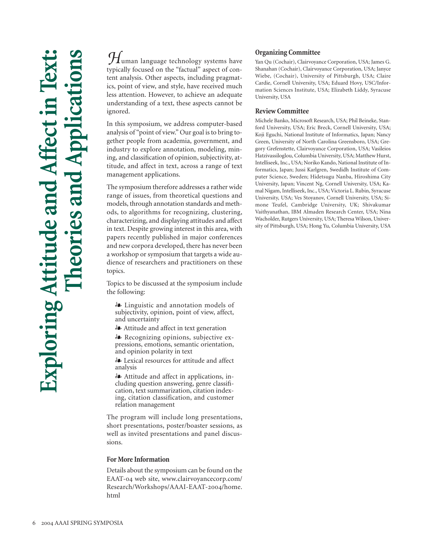*H*uman language technology systems have typically focused on the "factual" aspect of content analysis. Other aspects, including pragmatics, point of view, and style, have received much less attention. However, to achieve an adequate understanding of a text, these aspects cannot be ignored.

In this symposium, we address computer-based analysis of "point of view." Our goal is to bring together people from academia, government, and industry to explore annotation, modeling, mining, and classification of opinion, subjectivity, attitude, and affect in text, across a range of text management applications.

The symposium therefore addresses a rather wide range of issues, from theoretical questions and models, through annotation standards and methods, to algorithms for recognizing, clustering, characterizing, and displaying attitudes and affect in text. Despite growing interest in this area, with papers recently published in major conferences and new corpora developed, there has never been a workshop or symposium that targets a wide audience of researchers and practitioners on these topics.

Topics to be discussed at the symposium include the following:

- Linguistic and annotation models of subjectivity, opinion, point of view, affect, and uncertainty

- Attitude and affect in text generation

- Recognizing opinions, subjective expressions, emotions, semantic orientation, and opinion polarity in text

- Lexical resources for attitude and affect analysis

- Attitude and affect in applications, including question answering, genre classification, text summarization, citation indexing, citation classification, and customer relation management

The program will include long presentations, short presentations, poster/boaster sessions, as well as invited presentations and panel discussions.

### **For More Information**

Details about the symposium can be found on the EAAT-04 web site, www.clairvoyancecorp.com/ Research/Workshops/AAAI-EAAT-2004/home. html

### **Organizing Committee**

Yan Qu (Cochair), Clairvoyance Corporation, USA; James G. Shanahan (Cochair), Clairvoyance Corporation, USA; Janyce Wiebe, (Cochair), University of Pittsburgh, USA; Claire Cardie, Cornell University, USA; Eduard Hovy, USC/Information Sciences Institute, USA; Elizabeth Liddy, Syracuse University, USA

### **Review Committee**

Michele Banko, Microsoft Research, USA; Phil Beineke, Stanford University, USA; Eric Breck, Cornell University, USA; Koji Eguchi, National Institute of Informatics, Japan; Nancy Green, University of North Carolina Greensboro, USA; Gregory Grefenstette, Clairvoyance Corporation, USA; Vasileios Hatzivassiloglou, Columbia University, USA; Matthew Hurst, Intelliseek, Inc., USA; Noriko Kando, National Institute of Informatics, Japan; Jussi Karlgren, Swedidh Institute of Computer Science, Sweden; Hidetsugu Nanba, Hiroshima City University, Japan; Vincent Ng, Cornell University, USA; Kamal Nigam, Intelliseek, Inc., USA; Victoria L. Rubin, Syracuse University, USA; Ves Stoyanov, Cornell University, USA; Simone Teufel, Cambridge University, UK; Shivakumar Vaithyanathan, IBM Almaden Research Center, USA; Nina Wacholder, Rutgers University, USA; Theresa Wilson, University of Pittsburgh, USA; Hong Yu, Columbia University, USA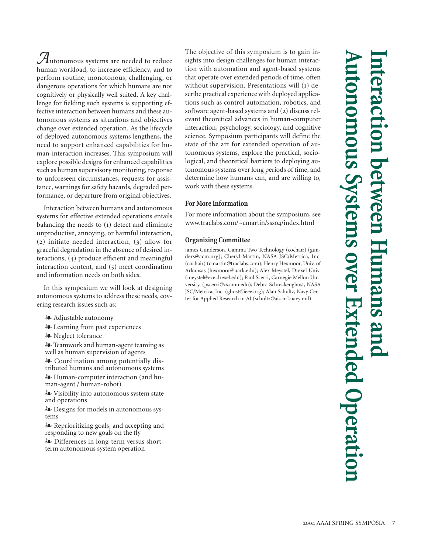*A*utonomous systems are needed to reduce human workload, to increase efficiency, and to perform routine, monotonous, challenging, or dangerous operations for which humans are not cognitively or physically well suited. A key challenge for fielding such systems is supporting effective interaction between humans and these autonomous systems as situations and objectives change over extended operation. As the lifecycle of deployed autonomous systems lengthens, the need to support enhanced capabilities for human-interaction increases. This symposium will explore possible designs for enhanced capabilities such as human supervisory monitoring, response to unforeseen circumstances, requests for assistance, warnings for safety hazards, degraded performance, or departure from original objectives.

Interaction between humans and autonomous systems for effective extended operations entails balancing the needs to  $(i)$  detect and eliminate unproductive, annoying, or harmful interaction,  $(2)$  initiate needed interaction,  $(3)$  allow for graceful degradation in the absence of desired interactions,  $(4)$  produce efficient and meaningful interaction content, and  $(5)$  meet coordination and information needs on both sides.

In this symposium we will look at designing autonomous systems to address these needs, covering research issues such as:

- Adjustable autonomy
- Learning from past experiences
- Neglect tolerance

- Teamwork and human-agent teaming as well as human supervision of agents

- Coordination among potentially distributed humans and autonomous systems
- Human-computer interaction (and human-agent / human-robot)

- Visibility into autonomous system state and operations

- Designs for models in autonomous systems

- Reprioritizing goals, and accepting and responding to new goals on the fly
- Differences in long-term versus shortterm autonomous system operation

The objective of this symposium is to gain insights into design challenges for human interaction with automation and agent-based systems that operate over extended periods of time, often without supervision. Presentations will  $(i)$  describe practical experience with deployed applications such as control automation, robotics, and software agent-based systems and  $(2)$  discuss relevant theoretical advances in human-computer interaction, psychology, sociology, and cognitive science. Symposium participants will define the state of the art for extended operation of autonomous systems, explore the practical, sociological, and theoretical barriers to deploying autonomous systems over long periods of time, and determine how humans can, and are willing to, work with these systems.

### **For More Information**

For more information about the symposium, see www.traclabs.com/~cmartin/ssso4/index.html

### **Organizing Committee**

James Gunderson, Gamma Two Technology (cochair) (gunders@acm.org); Cheryl Martin, NASA JSC/Metrica, Inc. (cochair) (cmartin@traclabs.com); Henry Hexmoor, Univ. of Arkansas (hexmoor@uark.edu); Alex Meystel, Drexel Univ. (meystel@ece.drexel.edu); Paul Scerri, Carnegie Mellon University, (pscerri@cs.cmu.edu); Debra Schreckenghost, NASA JSC/Metrica, Inc. (ghost@ieee.org); Alan Schultz, Navy Center for Applied Research in AI (schultz@aic.nrl.navy.mil)

## **Autonomous Systems over Extended Operation Interaction between Humans and**  nteraction between 1 nomous Systems over Extended Operation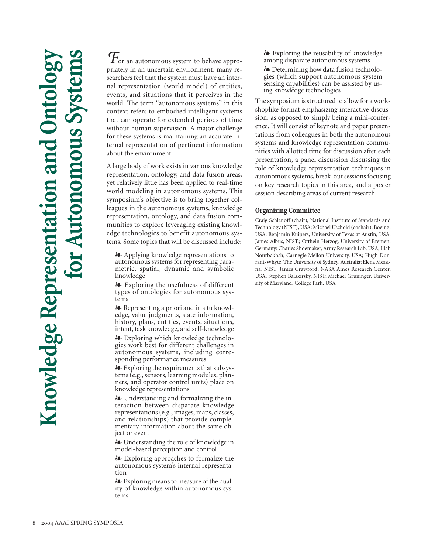$\mathcal{T}_\mathrm{or}$  an autonomous system to behave appropriately in an uncertain environment, many researchers feel that the system must have an internal representation (world model) of entities, events, and situations that it perceives in the world. The term "autonomous systems" in this context refers to embodied intelligent systems that can operate for extended periods of time without human supervision. A major challenge for these systems is maintaining an accurate internal representation of pertinent information about the environment.

A large body of work exists in various knowledge representation, ontology, and data fusion areas, yet relatively little has been applied to real-time world modeling in autonomous systems. This symposium's objective is to bring together colleagues in the autonomous systems, knowledge representation, ontology, and data fusion communities to explore leveraging existing knowledge technologies to benefit autonomous systems. Some topics that will be discussed include:

- Applying knowledge representations to autonomous systems for representing parametric, spatial, dynamic and symbolic knowledge

- Exploring the usefulness of different types of ontologies for autonomous systems

- Representing a priori and in situ knowledge, value judgments, state information, history, plans, entities, events, situations, intent, task knowledge, and self-knowledge

- Exploring which knowledge technologies work best for different challenges in autonomous systems, including corresponding performance measures

- Exploring the requirements that subsystems (e.g., sensors, learning modules, planners, and operator control units) place on knowledge representations

- Understanding and formalizing the interaction between disparate knowledge representations (e.g., images, maps, classes, and relationships) that provide complementary information about the same object or event

- Understanding the role of knowledge in model-based perception and control

- Exploring approaches to formalize the autonomous system's internal representation

- Exploring means to measure of the quality of knowledge within autonomous systems

- Exploring the reusability of knowledge among disparate autonomous systems

- Determining how data fusion technologies (which support autonomous system sensing capabilities) can be assisted by using knowledge technologies

The symposium is structured to allow for a workshoplike format emphasizing interactive discussion, as opposed to simply being a mini-conference. It will consist of keynote and paper presentations from colleagues in both the autonomous systems and knowledge representation communities with allotted time for discussion after each presentation, a panel discussion discussing the role of knowledge representation techniques in autonomous systems, break-out sessions focusing on key research topics in this area, and a poster session describing areas of current research.

### **Organizing Committee**

Craig Schlenoff (chair), National Institute of Standards and Technology (NIST), USA; Michael Uschold (cochair), Boeing, USA; Benjamin Kuipers, University of Texas at Austin, USA; James Albus, NIST,; Otthein Herzog, University of Bremen, Germany: Charles Shoemaker, Army Research Lab, USA; Illah Nourbakhsh, Carnegie Mellon University, USA; Hugh Durrant-Whyte, The University of Sydney, Australia; Elena Messina, NIST; James Crawford, NASA Ames Research Center, USA; Stephen Balakirsky, NIST; Michael Gruninger, University of Maryland, College Park, USA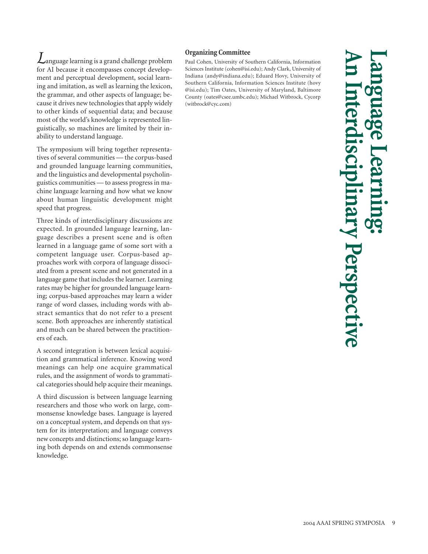*L*anguage learning is a grand challenge problem for AI because it encompasses concept development and perceptual development, social learning and imitation, as well as learning the lexicon, the grammar, and other aspects of language; because it drives new technologies that apply widely to other kinds of sequential data; and because most of the world's knowledge is represented linguistically, so machines are limited by their inability to understand language.

The symposium will bring together representatives of several communities — the corpus-based and grounded language learning communities, and the linguistics and developmental psycholinguistics communities — to assess progress in machine language learning and how what we know about human linguistic development might speed that progress.

Three kinds of interdisciplinary discussions are expected. In grounded language learning, language describes a present scene and is often learned in a language game of some sort with a competent language user. Corpus-based approaches work with corpora of language dissociated from a present scene and not generated in a language game that includes the learner. Learning rates may be higher for grounded language learning; corpus-based approaches may learn a wider range of word classes, including words with abstract semantics that do not refer to a present scene. Both approaches are inherently statistical and much can be shared between the practitioners of each.

A second integration is between lexical acquisition and grammatical inference. Knowing word meanings can help one acquire grammatical rules, and the assignment of words to grammatical categories should help acquire their meanings.

A third discussion is between language learning researchers and those who work on large, commonsense knowledge bases. Language is layered on a conceptual system, and depends on that system for its interpretation; and language conveys new concepts and distinctions; so language learning both depends on and extends commonsense knowledge.

### **Organizing Committee**

Paul Cohen, University of Southern California, Information Sciences Institute (cohen@isi.edu); Andy Clark, University of Indiana (andy@indiana.edu); Eduard Hovy, University of Southern California, Information Sciences Institute (hovy @isi.edu); Tim Oates, University of Maryland, Baltimore County (oates@csee.umbc.edu); Michael Witbrock, Cycorp (witbrock@cyc.com)

**An Interdisciplinary Perspective Language Learning:**  ry Perspectiv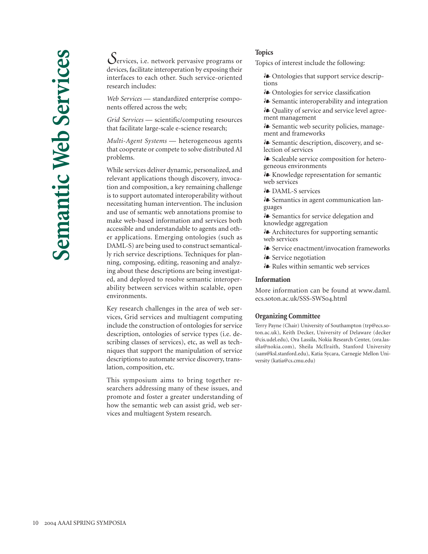*S*ervices, i.e. network pervasive programs or devices, facilitate interoperation by exposing their interfaces to each other. Such service-oriented research includes:

*Web Services* — standardized enterprise components offered across the web;

*Grid Services* — scientific/computing resources that facilitate large-scale e-science research;

*Multi-Agent Systems* — heterogeneous agents that cooperate or compete to solve distributed AI problems.

While services deliver dynamic, personalized, and relevant applications though discovery, invocation and composition, a key remaining challenge is to support automated interoperability without necessitating human intervention. The inclusion and use of semantic web annotations promise to make web-based information and services both accessible and understandable to agents and other applications. Emerging ontologies (such as DAML-S) are being used to construct semantically rich service descriptions. Techniques for planning, composing, editing, reasoning and analyzing about these descriptions are being investigated, and deployed to resolve semantic interoperability between services within scalable, open environments.

Key research challenges in the area of web services, Grid services and multiagent computing include the construction of ontologies for service description, ontologies of service types (i.e. describing classes of services), etc, as well as techniques that support the manipulation of service descriptions to automate service discovery, translation, composition, etc.

This symposium aims to bring together researchers addressing many of these issues, and promote and foster a greater understanding of how the semantic web can assist grid, web services and multiagent System research.

### **Topics**

Topics of interest include the following:

- Ontologies that support service descriptions

- Ontologies for service classification
- Semantic interoperability and integration - Quality of service and service level agree-
- ment management
- Semantic web security policies, management and frameworks
- Semantic description, discovery, and selection of services
- Scaleable service composition for heterogeneous environments
- Knowledge representation for semantic web services
- **A** DAML-S services

- Semantics in agent communication languages

- Semantics for service delegation and knowledge aggregation

- Architectures for supporting semantic web services

- Service enactment/invocation frameworks
- Service negotiation
- Rules within semantic web services

### **Information**

More information can be found at www.daml. ecs.soton.ac.uk/SSS-SWS04.html

### **Organizing Committee**

Terry Payne (Chair) University of Southampton (trp@ecs.soton.ac.uk), Keith Decker, University of Delaware (decker @cis.udel.edu), Ora Lassila, Nokia Research Center, (ora.lassila@nokia.com), Sheila McIlraith, Stanford University (sam@ksl.stanford.edu), Katia Sycara, Carnegie Mellon University (katia@cs.cmu.edu)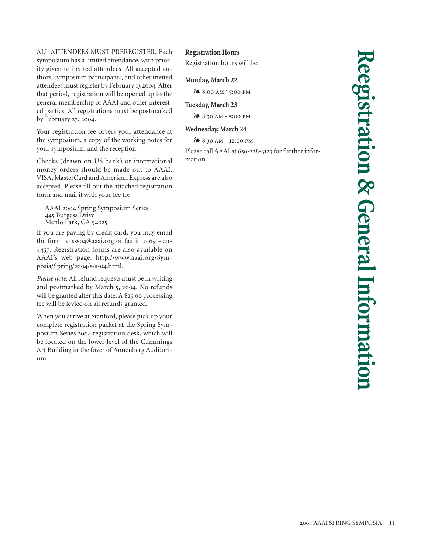ALL ATTENDEES MUST PREREGISTER. Each symposium has a limited attendance, with priority given to invited attendees. All accepted authors, symposium participants, and other invited attendees must register by February 13 2004. After that period, registration will be opened up to the general membership of AAAI and other interested parties. All registrations must be postmarked by February 27, 2004.

Your registration fee covers your attendance at the symposium, a copy of the working notes for your symposium, and the reception.

Checks (drawn on US bank) or international money orders should be made out to AAAI. VISA, MasterCard and American Express are also accepted. Please fill out the attached registration form and mail it with your fee to:

AAAI 2004 Spring Symposium Series Burgess Drive Menlo Park, CA

If you are paying by credit card, you may email the form to  $ssso4@aaai.org$  or fax it to  $650-321$ -. Registration forms are also available on AAAI's web page: http://www.aaai.org/Symposia/Spring/2004/sss-04.html.

*Please note:* All refund requests must be in writing and postmarked by March 5, 2004. No refunds will be granted after this date. A  $$25.00$  processing fee will be levied on all refunds granted.

When you arrive at Stanford, please pick up your complete registration packet at the Spring Symposium Series 2004 registration desk, which will be located on the lower level of the Cummings Art Building in the foyer of Annenberg Auditorium.

### **Registration Hours**

Registration hours will be:

### **Monday, March 22**

 $\mathcal{E}$  8:00 AM  $\degree$  5:00 PM

### **Tuesday, March 23**

 $\stackrel{5}{\bullet}$  8:30 AM - 5:00 PM

### **Wednesday, March 24**

*i*<sup>●</sup> 8:30 AM - 12:00 PM

Please call AAAI at 650-328-3123 for further information.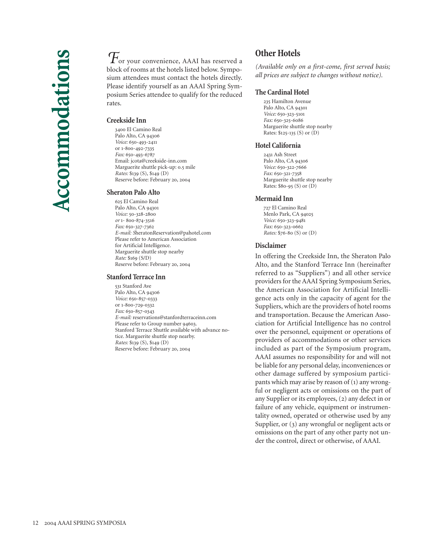$\mathcal{T}_{\text{or your convenience, AAAI has reserved a}}$ block of rooms at the hotels listed below. Symposium attendees must contact the hotels directly. Please identify yourself as an AAAI Spring Symposium Series attendee to qualify for the reduced rates.

### **Creekside Inn**

 El Camino Real Palo Alto, CA 94306 *Voice:* 650-493-2411 or 1-800-492-7335 Fax: 650-493-6787 Email: jcota@creekside-inn.com Marguerite shuttle pick-up: 0.5 mile *Rates:* \$139 (S), \$149 (D) Reserve before: February 20, 2004

### **Sheraton Palo Alto**

 El Camino Real Palo Alto, CA 94301 *Voice:* 50-328-2800 *or* 1-800-874-3516 *Fax:* 650-327-7362 *E-mail: S*heratonReservation@pahotel.com Please refer to American Association for Artificial Intelligence. Marguerite shuttle stop nearby *Rate:* \$169 (S/D) Reserve before: February 20, 2004

### **Stanford Terrace Inn**

531 Stanford Ave Palo Alto, CA 94306 Voice: 650-857-0333 or 1-800-729-0332 Fax: 650-857-0343 *E-mail:* reservations@stanfordterraceinn.com Please refer to Group number 94603. Stanford Terrace Shuttle available with advance notice. Marguerite shuttle stop nearby. *Rates:* \$139 (S), \$149 (D) Reserve before: February 20, 2004

### **Other Hotels**

*(Available only on a first-come, first served basis; all prices are subject to changes without notice).*

### **The Cardinal Hotel**

235 Hamilton Avenue Palo Alto, CA 94301 Voice: 650-323-5101  $Fax: 650 - 325 - 6086$ Marguerite shuttle stop nearby Rates:  $$125-135$  (S) or (D)

### **Hotel California**

2431 Ash Street Palo Alto, CA 94306 Voice: 650-322-7666 Fax: 650-321-7358 Marguerite shuttle stop nearby Rates:  $$80-95(S)$  or  $(D)$ 

### **Mermaid Inn**

 El Camino Real Menlo Park, CA Voice: 650-323-9481 Fax: 650-323-0662 *Rates:* \$76-80 (S) or (D)

### **Disclaimer**

In offering the Creekside Inn, the Sheraton Palo Alto, and the Stanford Terrace Inn (hereinafter referred to as "Suppliers") and all other service providers for the AAAI Spring Symposium Series, the American Association for Artificial Intelligence acts only in the capacity of agent for the Suppliers, which are the providers of hotel rooms and transportation. Because the American Association for Artificial Intelligence has no control over the personnel, equipment or operations of providers of accommodations or other services included as part of the Symposium program, AAAI assumes no responsibility for and will not be liable for any personal delay, inconveniences or other damage suffered by symposium participants which may arise by reason of  $(i)$  any wrongful or negligent acts or omissions on the part of any Supplier or its employees, (2) any defect in or failure of any vehicle, equipment or instrumentality owned, operated or otherwise used by any Supplier, or  $(3)$  any wrongful or negligent acts or omissions on the part of any other party not under the control, direct or otherwise, of AAAI.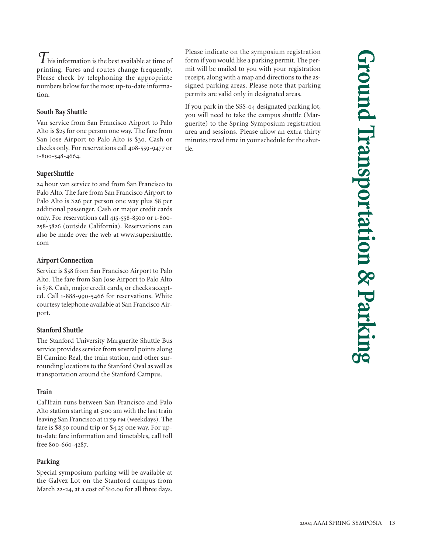$\tau$ his information is the best available at time of printing. Fares and routes change frequently. Please check by telephoning the appropriate numbers below for the most up-to-date information.

### **South Bay Shuttle**

Van service from San Francisco Airport to Palo Alto is \$25 for one person one way. The fare from San Jose Airport to Palo Alto is \$30. Cash or checks only. For reservations call 408-559-9477 or 1-800-548-4664.

### **SuperShuttle**

24 hour van service to and from San Francisco to Palo Alto. The fare from San Francisco Airport to Palo Alto is \$26 per person one way plus \$8 per additional passenger. Cash or major credit cards only. For reservations call 415-558-8500 or 1-800-258-3826 (outside California). Reservations can also be made over the web at www.supershuttle. com

### **Airport Connection**

Service is \$58 from San Francisco Airport to Palo Alto. The fare from San Jose Airport to Palo Alto is \$78. Cash, major credit cards, or checks accepted. Call 1-888-990-5466 for reservations. White courtesy telephone available at San Francisco Airport.

### **Stanford Shuttle**

The Stanford University Marguerite Shuttle Bus service provides service from several points along El Camino Real, the train station, and other surrounding locations to the Stanford Oval as well as transportation around the Stanford Campus.

### **Train**

CalTrain runs between San Francisco and Palo Alto station starting at 5:00 am with the last train leaving San Francisco at 11:59 PM (weekdays). The fare is \$8.50 round trip or \$4.25 one way. For upto-date fare information and timetables, call toll free 800-660-4287.

### **Parking**

Special symposium parking will be available at the Galvez Lot on the Stanford campus from March 22-24, at a cost of \$10.00 for all three days. Please indicate on the symposium registration form if you would like a parking permit. The permit will be mailed to you with your registration receipt, along with a map and directions to the assigned parking areas. Please note that parking permits are valid only in designated areas.

If you park in the SSS-04 designated parking lot, you will need to take the campus shuttle (Marguerite) to the Spring Symposium registration area and sessions. Please allow an extra thirty minutes travel time in your schedule for the shuttle.